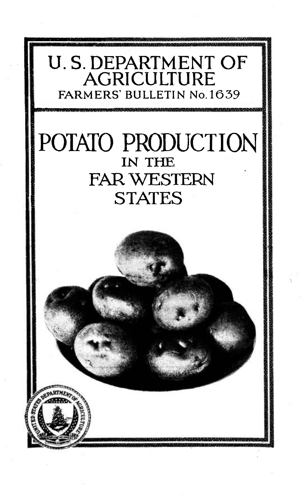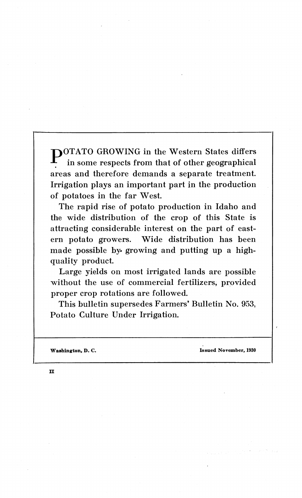**POTATO GROWING in the Western States differs** in some respects from that of other geographical areas and therefore demands a separate treatment. Irrigation plays an important part in the production of potatoes in the far West.

The rapid rise of potato production in Idaho and the wide distribution of the crop of this State is attracting considerable interest on the part of eastern potato growers. Wide distribution has been made possible by growing and putting up a highquality product.

Large yields on most irrigated lands are possible without the use of commercial fertilizers, provided proper crop rotations are followed.

This bulletin supersedes Farmers' Bulletin No. 953, Potato Culture Under Irrigation.

**Washington, D. C. Issued November, 1930**

 $\mathbf{u}$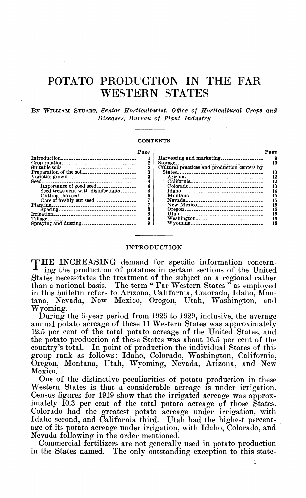# POTATO PRODUCTION IN THE FAR WESTERN STATES

## **By WILLIAM STUABT,** *Senior Hortkmlturist, Office of Horticultural Crops and Diseases, Bureau of Plant Industry*

#### **CONTENTS**

|                                   | Page |
|-----------------------------------|------|
| Introduction                      |      |
| Crop rotation                     | 2    |
| Suitable soils                    | 2    |
| Preparation of the soil           | 3    |
|                                   | 3    |
|                                   |      |
| Importance of good seed           |      |
| Seed treatment with disinfectants |      |
| Cutting the seed                  | ñ    |
| Care of freshly cut seed          |      |
|                                   |      |
| Spacing                           | Я    |
|                                   | я    |
|                                   | g    |
| Spraying and dusting              |      |

|                                              | Page     |
|----------------------------------------------|----------|
| Harvesting and marketing                     | Я        |
|                                              | 10       |
| Cultural practices and production centers by |          |
| States                                       | 10       |
| Arizona                                      | 12       |
| California                                   | 12       |
| Colorado                                     | 13       |
|                                              | 14       |
| Montana________________________________      | 15       |
| Nevada__________________________________     | 15       |
| New Mexico                                   | 15<br>16 |
|                                              | 16       |
| Washington                                   | 16       |
| Wvoming                                      | 16       |
|                                              |          |

#### **INTRODUCTION**

THE INCREASING demand for specific information concerning the production of potatoes in certain sections of the United States necessitates the treatment of the subject on a regional rather than a national basis. The term " Far Western States " as employed in this bulletin refers to Arizona, California, Colorado, Idaho, Montana, Nevada, New Mexico, Oregon, Utah, Washington, and Wyoming.

During the 5-year period from 1925 to 1929, inclusive, the average annual potato acreage of these 11 Western States was approximately 12.5 per cent of the total potato acreage of the United States, and the potato production of these States was about 16.5 per cent of the country's total. In point of production the individual States of this group rank as follows: Idaho, Colorado, Washington, California, Oregon, Montana, Utah, Wyoming, Nevada, Arizona, and New Mexico.

One of the distinctive peculiarities of potato production in these Western States is that a considerable acreage is under irrigation. Census figures for 1919 show that the irrigated acreage was approximately 10.3 per cent of the total potato acreage of those States. Colorado had the greatest potato acreage under irrigation, with Idaho second, and California third. Utah had the highest percentage of its potato acreage under irrigation, with Idaho, Colorado, and Nevada following in the order mentioned.

Commercial fertilizers are not generally used in potato production in the States named. The only outstanding exception to this state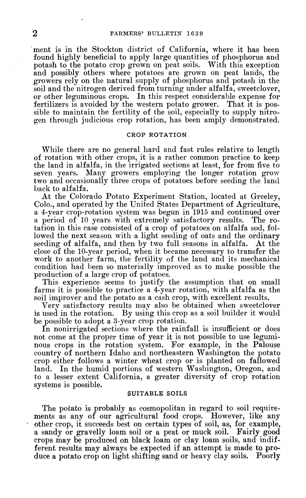ment is in the Stockton district of California, where it has been found highly beneficial to apply large quantities of phosphorus and potash to the potato crop grown on peat soils. With this exception and possibly others where potatoes are grown on peat lands, the growers rely on the natural supply of phosphorus and potash in the soil and the nitrogen derived from turning under alfalfa, sweetclover, or other leguminous crops. In this respect considerable expense for fertilizers is avoided by the western potato grower. That it is possible to maintain the fertility of the soil, especially to supply nitrogen through judicious crop rotation, has been amply demonstrated.

#### **CROP ROTATION**

While there are no general hard and fast rules relative to length of rotation with other crops, it is a rather common practice to keep the land in alfalfa, in the irrigated sections at least, for from five to seven years. Many growers employing the longer rotation grow two and occasionally three crops of potatoes before seeding the land back to alfalfa.

At the Colorado Potato Experiment Station, located at Greeley, Colo., and operated by the United States Department of Agriculture, a 4-year crop-rotation system was begun in 1915 and continued over a period of 10 years with extremely satisfactory results. The rotation in this case consisted of a crop of potatoes on alfalfa sod, followed the next season with a light seeding of oats and the ordinary<br>seeding of alfalfa, and then by two full seasons in alfalfa. At the seeding of alfalfa, and then by two full seasons in alfalfa. close of the 10-year period, when it became necessary to transfer the work to another farm, the fertility of the land and its mechanical condition had been so materially improved as to make possible the production of a large crop of potatoes.

This experience seems to justify the assumption that on small farms it is possible to practice a 4-year rotation, with alfalfa as the soil improver and the potato as a cash crop, with excellent results.

Very satisfactory results may also be obtained when sweetclover is used in the rotation. By using this crop as a soil builder it would be possible to adopt a 3-year crop rotation.

In nonirrigated sections where the rainfall is insufficient or does not come at the proper time of year it is not possible to use leguminous crops in the rotation system. For example, in the Palouse country of northern Idaho and northeastern Washington the potato crop either follows a winter wheat crop or is planted on fallowed land. In the humid portions of western Washington, Oregon, and to a lesser extent California, a greater diversity of crop rotation systems is possible.

#### **SUITABLE SOILS**

The potato is probably as cosmopolitan in regard to soil requirements as any of our agricultural food crops. However, like any other crop, it succeeds best on certain types of soil, as, for example, a sandy or gravelly loam soil or a peat or muck soil. Fairly good crops may be produced on black loam or clay loam soils, and indifferent results may always be expected if an attempt is made to produce a potato crop on light shifting sand or heavy clay soils. Poorly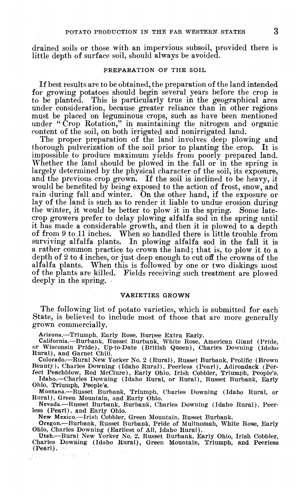drained soils or those with an impervious subsoil, provided there is little depth of surface soil, should always be avoided.

#### PREPARATION OF THE SOIL

If best results are to be obtained, the preparation of the land intended for growing potatoes should begin several years before the crop is to be planted. This is particularly true in the geographical area under consideration, because greater reliance than in other regions must be placed on leguminous crops, such as have been mentioned under " Crop Eotation," in maintaining the nitrogen and organic content of the soil, on both irrigated and nonirrigated land.

The proper preparation of the land involves deep plowing and thorough pulverization of the soil prior to planting the crop. It is impossible to produce maximum yields from poorly prepared land. Whether the land should be plowed in the fall or in the spring is largely determined by the physical character of the soil, its exposure, and the previous crop grown. If the soil is inclined to be heavy, it would be benefited by being exposed to the action of frost, snow, and rain during fall and winter. On the other hand, if the exposure or lay of the land is such as to render it liable to undue erosion during the winter, it would be better to plow it in the spring. Some latecrop growers prefer to delay plowing alfalfa sod in the spring until it has made a considerable growth, and then it is plowed to a depth of from 9 to,11 inches. When so handled there is little trouble from surviving alfalfa plants. In plowing alfalfa sod in the fall it is a rather common practice to crown the land ; that is, to plow it to a depth of 2 to 4 inches, or just deep enough to cut off the crowns of the alfalfa plants. When this is followed by one or two diskings most of the plants are killed. Fields receiving such treatment are plowed deeply in the spring.

### VARIETIES GROWN

The following list of potato varieties, which is submitted for each State, is believed to include most of those that are more generally grown commercially.

Arizona.—Triumph, Early Rose, Burpee Extra Early. California.—Burbank, Russet Burbank, White Rose, American Giant (Pride, or Wisconsin Pride), Up-to-Date (British Queen), Charles Downing (Idaho Rural), and Garnet Chili.

Colorado.—Rural New Yorker No. 2 (Rural), Russet Burbank, Prolific (Brown Beauty), Charles Downing (Idaho Rural), Peerless (Pearl), Adirondack (Per-

fect Peachblow, Red McClure), Early Ohio, Irish Cobbler, Triumph, People's. Idaho.—Charles Downing (Idaho Rural, or Rural), Russet Burbank, Early Ohio, Triumph, People's.

Montana.—Russet Burbank, Triumph, Charles Downing (Idaho Rural, or Rural), Green Mountain, and Early Ohio.

Nevada.—Russet Burbank, Burbank, Charles Downing (Idaho Rural), Peerless (Pearl), and Early Ohio.

New Mexico.—Irish Cobbler, Green Mountain, Russet Burbank.

Oregon.—Burbank, Russet Burbank, Pride of Multnomah, White Rose, Early Ohio, Charles Downing (Earliest of All, Idaho Rural).

Utah.—Rural New Yorker No. 2, Russet Burbank, Early Ohio, Irish Cobbler, Charles Downing (Idaho Rural), Green Mountain, Triumph, and Peerless (Pearl).无线性 医肾炎 不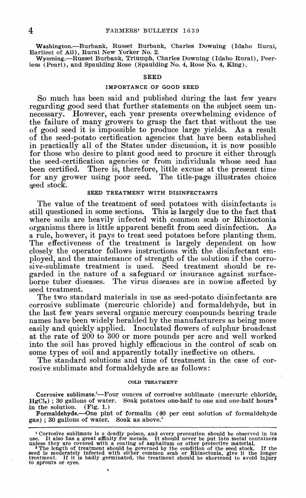Washington.—Burbank, Russet Burbank, Charles Downing (Idaho Rural, Earliest of All), Rural New Yorker No. 2.

Wyoming.—Russet Burbank, Triumph, Charles Downing (Idaho Rural), Peerless (Pearl), and Spaulding Rose (Spaulding No. 4, Rose No. 4, King).

#### SEED

#### IMPORTANCE OF GOOD SEED

So much has been said and published during the last few years regarding good seed that further statements on the subject seem unnecessary. However, each year presents overwhelming evidence of the failure of many growers to grasp the fact that without the use of good seed it is impossible to produce large yields. As a result of the seed-potato certification agencies that have been established in practically all of the States under discussion, it is now possible for those who desire to plant good seed to procure it either through the seed-certification agencies or from individuals whose seed has been certified. There is, therefore, little excuse at the present time for any grower using poor seed. The title-page illustrates choice seed stock.

#### SEED TREATMENT WITH DISINFECTANTS

The value of the treatment of seed potatoes with disinfectants is still questioned in some sections. This is largely due to the fact that where soils are heavily infected with common scab or Rhizoctonia organisms there is little apparent benefit from seed disinfection. As a rule, however, it pays to treat seed potatoes before planting them. The effectiveness of the treatment is largely dependent on how closely the operator follows instructions with the disinfectant employed, and the maintenance of strength of the solution if the corrosive-sublimate treatment is used. Seed treatment should be regarded in the nature of a safeguard or insurance against surfaceborne tuber diseases. The virus diseases are in nowise affected by seed treatment.

The two standard materials in use as seed-potato disinfectants are corrosive sublimate (mercuric chloride) and formaldehyde, but in the last few years several organic mercury compounds bearing trade names have been widely heralded by the manufacturers as being more easily and quickly applied. Inoculated flowers of sulphur broadcast at the rate of 200 to 300 or more pounds per acre and well worked into the soil has proved highly efficacious in the control of scab on some types of soil and apparently totally ineffective on others.

The standard solutions and time of treatment in the case of corrosive sublimate and formaldehyde are as follows :

#### **COLD TREATMENT**

Corrosive sublimate.<sup>1</sup>—Four ounces of corrosive sublimate (mercuric chloride, HgCl<sub>i</sub>); 30 gallons of water. Soak potatoes one-half to one and one-half hours<sup>2</sup> in the solution. (Fig. 1.)

Formaldehyde.—One pint of formalin (40 per cent solution of formaldehyde  $gas)$ ; 30 gallons of water. Soak as above.<sup>2</sup>

<sup>&</sup>lt;sup>1</sup> Corrosive sublimate is a deadly poison, and every precaution should be observed in its use. It also has a great affinity for metals. It should never be put into metal containers unless they are covered with a coating to sprouts or eyes.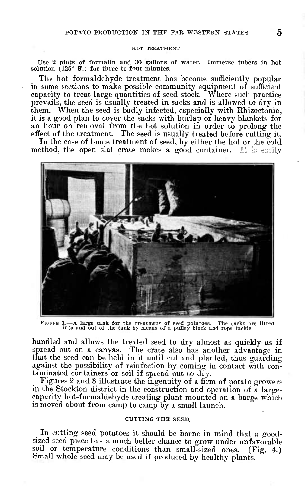#### HOT TREATMENT

Use 2 pints of formalin and 30 gallons of water. Immerse tubers in hot solution  $(125° \nF.)$  for three to four minutes.

The hot formaldehyde treatment has become sufficiently popular in some sections to make possible community equipment of sufficient capacity to treat large quantities of seed stock. Where such practice prevails, the seed is usually treated in sacks and is allowed to dry in them. When the seed is badly infected, especially with Rhizoctonia, it is a good plan to cover the sacks with burlap or heavy blankets for an hour on removal from the hot solution in order to prolong the effect of the treatment. The seed is usually treated before cutting it.

In the case of home treatment of seed, by either the hot or the cold method, the open slat crate makes a good container. It is easily



FIUUHE 1.—A large tank for the treatment of seed potatoes. The sacks are lifted into and out of the tank by means of a pulley block and rope tackle

handled and allows the treated seed to dry almost as quickly as if spread out on a canvas. The crate also has another advantage in that the seed can be held in it until cut and planted, thus guarding against the possibility of reinfection by coming in contact with contaminated containers or soil if spread out to dry.

Figures 2 and 3 illustrate the ingenuity of a firm of potato growers in the Stockton district in the construction and operation of a largecapacity hot-formaldehyde treating plant mounted on a barge which is moved about from camp to camp by a small launch.

## CUTTING THE SEED,

In cutting seed potatoes it should be borne in mind that a goodsized seed piece has a much better chance to grow under unfavorable soil or temperature conditions than small-sized ones. (Fig. 4.) Small whole seed may be used if produced by healthy plants.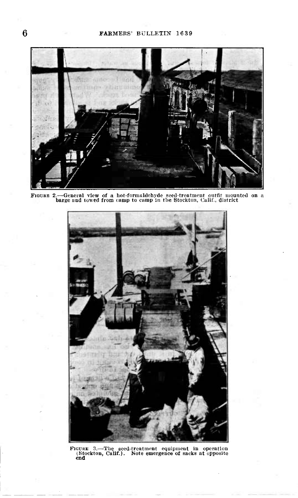



FIGURE 3.—The seed-treatment equipment in operation (Stockton, Calif.). Note emergence of sacks at opposite end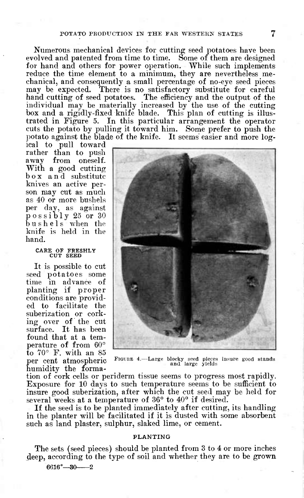Numerous mechanical devices for cutting seed potatoes have been evolved and patented from time to time. Some of them are designed for hand and others for power operation. While such implements reduce the time element to a minimum, they are nevertheless mechanical, and consequently a small percentage of no-eye seed pieces may be expected. There is no satisfactory substitute for careful hand cutting of seed potatoes. The efficiency and the output of the individual may be materially increased by the use of the cutting box and a rigidly-fixed knife blade. This plan of cutting is illustrated in Figure 5. In this particular arrangement the operator cuts the potato by pulling it toward him. Some prefer to push the potato against the blade of the knife. It seems easier and more log-

ical to pull toward rather than to push<br>away from oneself. from oneself. With a good cutting box and substitute knives an active person may cut as much as 40 or more bushels per day, as against possibly <sup>25</sup> or <sup>30</sup> bushels when the knife is held in the hand.

# CARE **OF** FRESHLY **CUT** SEED

It is possible to cut seed potatoes some time in advance of planting if proper conditions are provided to facilitate the suberization or corking over of the cut surface. It has been found that at a temperature of from 60° to 70° F. with an 85 per cent atmospheric humidity the forma-



FIGURE 4.- -Large blocky seed pieces insure good stands and large yields

tion of cork cells or periderm tissue seems to progress most rapidly. Exposure for 10 days to such temperature seems to be sufficient to insure good suberization, after which the cut seed may be held for several weeks at a temperature of 36° to 40° if desired.

If the seed is to be planted immediately after cutting, its handling in the planter will be facilitated if it is dusted with some absorbent such as land plaster, sulphur, slaked lime, or cement.

#### **PLANTING**

The sets (seed pieces) should be planted from 3 to 4 or more inches deep, according to the type of soil and whether they are to be grown

 $6616^{\circ} - 30 - 2$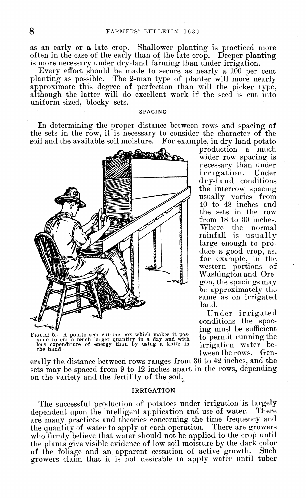as an early or a late crop. Shallower planting is practiced more often in the case of the early than of thé late crop. Deeper planting is more necessary under dry-land farming than under irrigation.

Every effort should be made to secure as nearly a 100 per cent planting as possible. The 2-man type of planter will more nearly approximate this degree of perfection than will the picker type, although the latter will do excellent work if the seed is cut into uniform-sized, blocky sets.

#### **SPACING**

In determining the proper distance between rows and spacing of the sets in the row, it is necessary to consider the character of the soil and the available soil moisture. For example, in dry-land potato



FIGURE 5.—A potato seed-cutting box which makes it pos-sible to cut a much larger quantity in a day and with less expenditure of energy than by using a knife in less experthe hand

production a much wider row spacing is necessary than under irrigation. Under dry-land conditions the interrow spacing usually varies from 40 to 48 inches and the sets in the row from 18 to 30 inches. Where the normal rainfall is usually large enough to produce a good crop, as, for example, in the western portions of Washington and Oregon, the spacings may be approximately the same as on irrigated land.

Under irrigated conditions the spacing must be sufficient to permit running the irrigation water between the rows. Gen-

erally the distance between rows ranges from 36 to 42 inches, and the sets may be spaced from 9 to 12 inches apart in the rows, depending on the variety and the fertility of the soil.

#### **IRRIGATION**

The successful production of potatoes under irrigation is largely dependent upon the intelligent application and use of water. There are many practices and theories concerning the time frequency and the quantity of water to apply at each operation. There are growers who firmly believe that water should not be applied to the crop until the plants give visible evidence of low soil moisture by the dark color of the foliage and an apparent cessation of active growth. Such growers claim that it is not desirable to apply water until tuber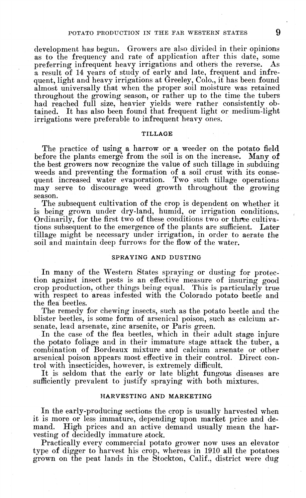development has begun. Growers are also divided in their opinions as to the frequency and rate of application after this date, some preferring infrequent heavy irrigations and others the reverse. As a result of 14 years of study of early and late, frequent and infrequent, light and heavy irrigations at Greeley, Colo., it has been found almost universally that when the proper soil moisture was retained throughout the growing season, or rather up to the time the tubers had reached full size, heavier yields were rather consistently obtained. It has also been found that frequent light or medium-light irrigations were preferable to infrequent heavy ones.

#### **TILLAGE**

The practice of using a harrow or a weeder on the potato field before the plants emerge from the soil is on the increase. Many of the best growers now recognize the value of such tillage in subduing weeds and preventing the formation of a soil crust with its consequent increased water evaporation. Two such tillage operations may serve to discourage weed growth throughout the growing season.

The subsequent cultivation of the crop is dependent on whether it is being grown under dry-land, humid, or irrigation conditions. Ordinarily, for the first two of these conditions two or three cultivations subsequent to the emergence of the plants are sufficient. Later tillage might be necessary under irrigation, in order to aerate the soil and maintain deep furrows for the flow of the water.

#### SPRAYING AND DUSTING

In many of the Western States spraying or dusting for protection against insect pests is an effective measure of insuring good crop production, other things being equal. This is particularly true with respect to areas infested with the Colorado potato beetle and the flea beetles.

The remedy for chewing insects, such as the potato beetle and the blister beetles, is some form of arsenical poison, such as calcium arsenate, lead arsenate, zinc arsenite, or Paris green.

In the case of the flea beetles, which in their adult stage injure the potato foliage and in their immature stage attack the tuber, a combination of Bordeaux mixture and calcium arsenate or other arsenical poison appears most effective in their control. Direct control with insecticides, however, is extremely difficult.

It is seldom that the early or late blight fungous diseases are sufficiently prevalent to justify spraying with both mixtures.

### HARVESTING **AND MARKETING**

In the early-producing sections the crop is usually harvested when it is more or less immature, depending upon market price and de-High prices and an active demand usually mean the harvesting of decidedly immature stock.

Practically every commercial potato grower now uses an elevator type of digger to harvest his crop, whereas in 1910 all the potatoes grown on the peat lands in the Stockton, Calif., district were dug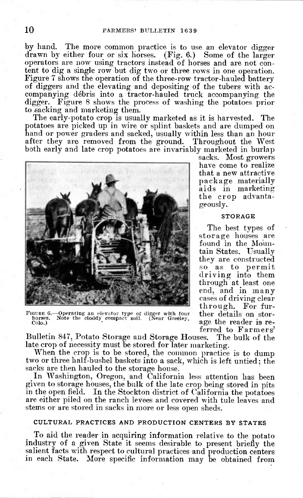by hand. The more common practice is to use an elevator digger drawn by either four or six horses. (Fig. 6.) Some of the larger operators are now using tractors instead of horses and are not content to dig a single row but dig two or three rows in one operation. Figure 7 shows the operation of the three-row tractor-hauled battery of diggers and the elevating and depositing of the tubers with accompanying débris into a tractor-hauled truck accompanying the digger. Figure 8 shows the process of washing the potatoes prior to sacking and marketing them.

The early-potato crop is usually marketed as it is harvested. The potatoes are picked up in wire or splint baskets and are dumped on hand or power graders and sacked, usually within less than an hour after they are removed from the ground. Throughout the West both early and late crop potatoes are invariably marketed in burlap



FIGURE 6.—Operating an elevator type of digger with four horses. Note the cloddy compact soil. (Near Greeley, horses.<br>Colo.)

ferred to Farmers' Bulletin 847, Potato Storage and Storage Houses. late crop of necessity must be stored for later marketing.

When the crop is to be stored, the common practice is to dump two or three half-bushel baskets into a sack, which is left untied ; the sacks are then hauled to the storage house.

In Washington, Oregon, and California less attention has been given to storage houses, the bulk of the late crop being stored in pits in the open field. In the Stockton district of California the potatoes are either piled on the ranch levees and covered with tule leaves and stems or are stored in sacks in more or less open sheds.

## **CULTURAL PRACTICES AND PRODUCTION CENTERS BY STATES**

To aid the reader in acquiring information relative to the potato industry of a given State it seems desirable to present briefly the salient facts with respect to cultural practices and production centers in each State. More specific information may be obtained from

sacks. Most growers have come to realize that a new attractive package materially aids in marketing the crop advantageously.

#### STORAGE

The best types of storage houses are found in the Mountain States. Usually they are constructed so as to permit driving into them through at least one end, and in many cases of driving clear through. For further details on storage the reader is re-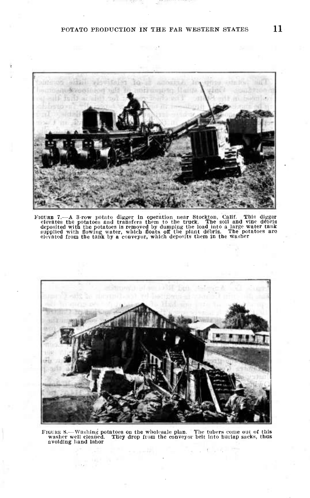# POTATO PRODUCTION IN THE FAR WESTERN STATES  $11$

 $\sim$   $^3$ 



FIGURE 7.—A 3-row potato digger in operation near Stockton, Calif. This digger<br>elevates the potatoes and transfers them to the truck. The soil and vine débris<br>deposited with the potatoes is removed by dumping the load int



FIGURE 8.—Washing potatoes on the wholesale plan. The tubers come out of this washer well cleaned. They drop from the conveyor belt into hurlap sacks, thus avoiding hand labor

وأبيا

 $\sim$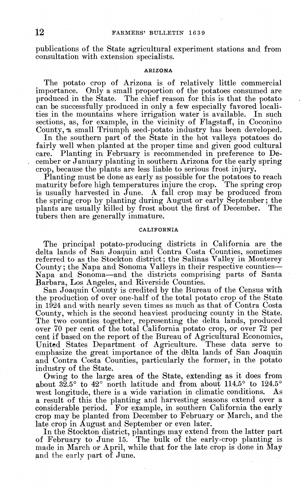publications of the State agricultural experiment stations and from consultation with extension specialists.

#### **ARIZONA**

The potato crop of Arizona is of relatively little commercial importance. Only a small proportion of the potatoes consumed are Only a small proportion of the potatoes consumed are produced in the State. The chief reason for this is that the potato can be successfully produced in only a few especially favored localities in the mountains where irrigation water is available. In such sections, as, for example, in the vicinity of Flagstaff, in Coconino County, a small Triumph seed-potato industry has been developed.

In the southern part of the State in the hot valleys potatoes do fairly well when planted at the proper time and given good cultural care. Planting in February is recommended in preference to December or January planting in southern Arizona for the early spring crop, because the plants are less liable to serious frost injury.

Planting must be done as early as possible for the potatoes to reach maturity before high temperatures injure the crop. The spring crop is usually harvested in June. A fall crop may be produced from the spring crop by planting during August or early September ; the plants are usually killed by frost about the first of December. The tubers then are generally immature.

#### **CALIFORNIA**

The principal potato-producing districts in California are the delta lands of San Joaquin and Contra Costa Counties, sometimes referred to as the Stockton district; the Salinas Valley in Monterey County ; the Napa and Sonoma Valleys in their respective counties— Napa and Sonoma—and the districts comprising parts of Santa Barbara, Los Angeles, and Riverside Counties.

San Joaquin County is credited by the Bureau of the Census with the production of over one-half of the total potato crop of the State in 1924 and with nearly seven times as much as that of Contra Costa County, which is the second heaviest producing county in the State. The two counties together, representing the delta lands, produced over 70 per cent of the total California potato crop, or over 72 per cent if based on the report of the Bureau of Agricultural Economics, United States Department of Agriculture. These data serve to emphasize the great importance of the delta lands of San Joaquin and Contra Costa Counties, particularly the former, in the potato industry of the State.

Owing to the large area of the State, extending as it does from about  $3\bar{2}.5^{\circ}$  to  $42^{\circ}$  north latitude and from about 114.5° to 124.5° west longitude, there is a wide variation in climatic conditions. As a result of this the planting and harvesting seasons extend over a considerable period. For example, in southern California the early crop may be planted from December to February or March, and the late crop in August and September or even later.

In the Stockton district, plantings may extend from the latter part of February to June 15. The bulk of the early-crop planting is made in March or April, while that for the late crop is done in May and the early part of June.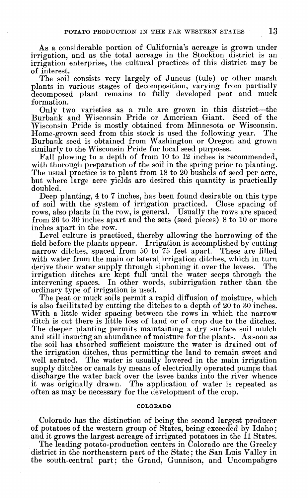As a considerable portion of California's acreage is grown under irrigation, and as the total acreage in the Stockton district is an irrigation enterprise, the cultural practices of this district may be of interest.

The soil consists very largely of Juncus (tule) or other marsh plants in various stages of decomposition, varying from partially decomposed plant remains to fully developed peat and muck formation.

Only two varieties as a rule are grown in this district—the Burbank and Wisconsin Pride or American Giant. Seed of the Wisconsin Pride is mostly obtained from Minnesota or Wisconsin. Home-grown seed from this stock is used the following year. The Burbank seed is obtained from Washington or Oregon and grown similarly to the Wisconsin Pride for local seed purposes.

Fall plowing to a depth of from 10 to 12 inches is recommended, with thorough preparation of the soil in the spring prior to planting. The usual practice is to plant from 18 to 20 bushels of seed per acre, but where large acre yields are desired this quantity is practically doubled.

Deep planting, 4 to 7 inches, has been found desirable on this type of soil with the system of irrigation practiced. Close spacing of rows, also plants in the row, is general. Usually the rows are spaced from 26 to 30 inches apart and the sets (seed pieces) 8 to 10 or more inches apart in the row.

Level culture is practiced, thereby allowing the harrowing of the field before the plants appear. Irrigation is accomplished by cutting narrow ditches, spaced from 50 to 75 feet apart. These are filled with water from the main or lateral irrigation ditches, which in turn derive their water supply through siphoning it over the levees. The irrigation ditches are kept full until the water seeps through the intervening spaces. In other words, subirrigation rather than the ordinary type of irrigation is used.

The peat or muck soils permit a rapid diffusion of moisture, which is also facilitated by cutting the ditches to a depth of 20 to 30 inches. With a little wider spacing between the rows in which the narrow ditch is cut there is little loss of land or of crop due to the ditches. The deeper planting permits maintaining a dry surface soil mulch and still insuring an abundance of moisture for the plants. Assoon as the soil has absorbed sufficient moisture the water is drained out of the irrigation ditches, thus permitting the land to remain sweet and well aerated. The water is usually lowered in the main irrigation The water is usually lowered in the main irrigation supply ditches or canals by means of electrically operated pumps that discharge the water back over the levee banks into the river whence it was originally drawn. The application of water is repeated as often as may be necessary for the development of the crop.

## **COLORADO**

Colorado has the distinction of being the second largest producer of potatoes of the western group of States, being exceeded by Idaho ; and it grows the largest acreage of irrigated potatoes in the 11 States.

The leading potato-production centers in Colorado are the Greeley district in the northeastern part of the State ; the San Luis Valley in the south-central part; the Grand, Gunnison, and Uncompahgre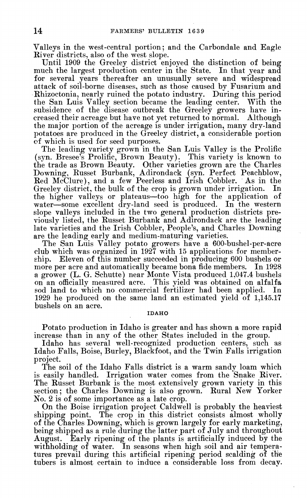Valleys in the west-central portion; and the Carbondale and Eagle Kiver districts, also of the west slope.

Until 1909 the Greeley district enjoyed the distinction of being much the largest production center in the State. In that year and for several years thereafter an unusually severe and widespread attack of soil-borne diseases, such as those caused by Fusarium and Rhizoctonia, nearly ruined the potato industry. During this period the San Luis Valley section became the leading center. With the subsidence of the disease outbreak the Greeley growers have increased their acreage but have not yet returned to normal. Although the major portion of the acreage is under irrigation, many dry-land potatoes are produced in the Greeley district, a considerable portion of which is used for seed purposes.

The leading variety grown in the San Luis Valley is the Prolific (syn. Bresee's Prolific, Brown Beauty). This variety is known to the trade as Brown Beauty. Other varieties grown are the Charles Downing, Eusset Burbank, Adirondack (syn. Perfect Peachblow, Eed McClure), and a few Peerless and Irish Cobbler. As in the Greeley district, the bulk of the crop is grown under irrigation. In the higher valleys or plateaus—too high for the application of water—some excellent dry-land seed is produced. In the western slope valleys included in the two general production districts previously listed, the Eusset Burbank and Adirondack are the leading late varieties and the Irish Cobbler, People's, and Charles Downing are the leading early and medium-maturing varieties.

The San Luis Valley potato growers have a 600-bushel-per-acre club which was organized in 1927 with 15 applications for member-Eleven of this number succeeded in producing 600 bushels or<br>er acre and automatically became bona fide members. In 1928 more per acre and automatically became bona fide members. a grower (L. G. Schutte) near Monte Vista produced 1,047.4 bushels on an officially measured acre. This yield was obtained on alfalfa sod land to which no commercial fertilizer had been applied. In 1929 he produced on the same land an estimated yield of 1,145.17 bushels on an acre.

#### **IDAHO**

Potato production in Idaho is greater and has shown a more rapid increase than in any of the other States included in the group.

Idaho has several well-recognized production centers, such as Idaho Falls, Boise, Burley, Blackfoot, and the Twin Falls irrigation project.

The soil of the Idaho Falls district is a warm sandy loam which is easily handled. Irrigation water comes from the Snake Eiver. The Russet Burbank is the most extensively grown variety in this section; the Charles Downing is also grown. Eural New Yorker No. 2 is of some importance as a late crop.

On the Boise irrigation project Caldwell is probably the heaviest shipping point. The crop in this district consists almost wholly of the Charles Downing, which is grown largely for early marketing, being shipped as a rule during the latter part of July and throughout August. Early ripening of the plants is artificially induced by the withholding of water. In seasons when high soil and air temperatures prevail during this artificial ripening period scalding of the tubers is almost certain to induce a considerable loss from decav.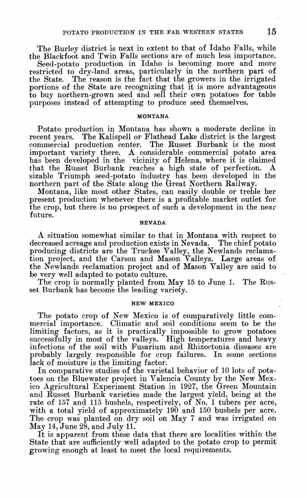The Burley district is next in extent to that of Idaho Falls, while the Blackfoot and Twin Falls sections are of much less importance.

Seed-potato production in Idaho is becoming more and more restricted to dry-land areas, particularly in the northern part of the State. The reason is the fact that the growers in the irrigated portions of the State are recognizing that it is more advantageous to buy northern-grown seed and sell their own potatoes for table purposes instead of attempting to produce seed themselves.

## **MONTANA**

Potato production in Montana has shown a moderate decline in recent years. The Kalispell or Flathead Lake district is the largest commercial production center. The Küsset Burbank is the most important variety there. A considerable commercial potato area has been developed in the vicinity of Helena, where it is claimed<br>that the Russet Burbank reaches a high state of perfection. A that the Russet Burbank reaches a high state of perfection. sizable Triumph seed-potato industry has been developed in the northern part of the State along the Great Northern Railway.

Montana, like most other States, can easily double or treble her present production whenever there is a profitable market outlet for the crop, but there is no prospect of such a development in the near future.

## **NEVADA**

A situation somewhat similar to that in Montana with respect to decreased acreage and production exists in Nevada. The chief potato producing districts are the Truckee Valley, the Newlands reclamation project, and the Carson and Mason Valleys. Large areas of the Newlands reclamation project and of Mason Valley are said to be very well adapted to potato culture.

The crop is normally planted from May 15 to June 1. The Russet Burbank has become the leading variety.

### **NEW MEXICO**

The potato crop of New Mexico is of comparatively little commercial importance. Climatic and soil conditions seem to be the limiting factors, as it is practically impossible to grow potatoes successfully in most of the valleys. High temperatures and heavy infections of the soil with Fusarium and Rhizoctonia diseases are probably largely responsible for crop failures. In some sections lack of moisture is the limiting factor.

In comparative studies of the varietal behavior of 10 lots of potatoes on the Bluewater project in Valencia County by the New Mexico Agricultural Experiment Station in 1927, the Green Mountain and Russet Burbank varieties made the largest yield, being at the rate of 157 and 115 bushels, respectively, of No. <sup>1</sup> tubers per acre, with a total yield of approximately  $190'$  and  $150$  bushels per acre. The crop was planted on dry soil on May 7 and was irrigated on May 14, June 28, and July 11.

It is apparent from these data that there are localities within the State that are sufficiently well adapted to the potato crop to permit growing enough at least to meet the local requirements.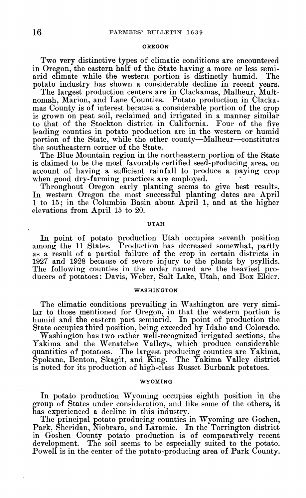#### OREGON

Two very distinctive types of climatic conditions are encountered in Oregon, the eastern half of the State having a more or less semiarid climate while the western portion is distinctly humid. The potato industry has shown a considerable decline in recent years.

The largest production centers are in Clackamas, Malheur, Multnomah, Marion, and Lane Counties. Potato production in Clackamas County is of interest because a considerable portion of the crop is grown on peat soil, reclaimed and irrigated in a manner similar to that of the Stockton district in California. Four of the five leading counties in potato production are in the western or humid portion of the State, while the other county—Malheur—constitutes the southeastern corner of the State.

The Blue Mountain region in the northeastern portion of the State is claimed to be the most favorable certified seed-producing area, on account of having a sufficient rainfall to produce a paying crop when good dry-farming practices are employed.

Throughout Oregon early planting seems to give best results. In western Oregon the most successful planting dates are April <sup>1</sup> to 15; in the Columbia Basin about April 1, and at the higher elevations from April 15 to 20.

#### UTAH

In point of potato production Utah occupies seventh position among the 11 States. Production has decreased somewhat, partly as a result of a partial failure of the crop in certain districts in 1927 and 1928 because of severe injury to the plants by psyllids. The following counties in the order named are the heaviest producers of potatoes: Davis, Weber, Salt Lake, Utah, and Box Elder.

#### WASHINGTON

The climatic conditions prevailing in Washington are very similar to those mentioned for Oregon, in that the western portion is humid and the eastern part semiarid. In point of production the State occupies third position, being exceeded by Idaho and Colorado.

Washington has two rather well-recognized irrigated sections, the Yakima and the Wenatchee Valleys, which produce considerable quantities of potatoes. The largest producing counties are Yakima, Spokane, Benton, Skagit, and King. The Yakima Valley district is noted for its production of high-class Russet Burbank potatoes.

#### WYOMING

In potato production Wyoming occupies eighth position in the group of States under consideration, and like some of the others, it has experienced a decline in this industry.

The principal potato-producing counties in Wyoming are Goshen, Park, Sheridan, Niobrara, and Laramie. In the Torrington district in Goshen County potato production is of comparatively recent development. The soil seems to be especially suited to the potato. Powell is in the center of the potato-producing area of Park County.